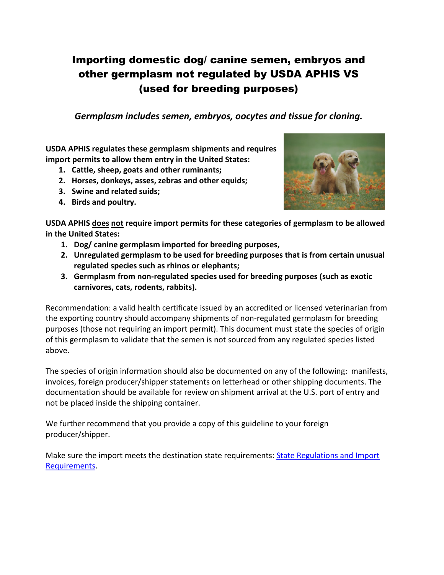## Importing domestic dog/ canine semen, embryos and other germplasm not regulated by USDA APHIS VS (used for breeding purposes)

*Germplasm includes semen, embryos, oocytes and tissue for cloning.*

**USDA APHIS regulates these germplasm shipments and requires import permits to allow them entry in the United States:** 

- **1. Cattle, sheep, goats and other ruminants;**
- **2. Horses, donkeys, asses, zebras and other equids;**
- **3. Swine and related suids;**
- **4. Birds and poultry.**



**USDA APHIS does not require import permits for these categories of germplasm to be allowed in the United States:** 

- **1. Dog/ canine germplasm imported for breeding purposes,**
- **2. Unregulated germplasm to be used for breeding purposes that is from certain unusual regulated species such as rhinos or elephants;**
- **3. Germplasm from non-regulated species used for breeding purposes (such as exotic carnivores, cats, rodents, rabbits).**

Recommendation: a valid health certificate issued by an accredited or licensed veterinarian from the exporting country should accompany shipments of non-regulated germplasm for breeding purposes (those not requiring an import permit). This document must state the species of origin of this germplasm to validate that the semen is not sourced from any regulated species listed above.

The species of origin information should also be documented on any of the following: manifests, invoices, foreign producer/shipper statements on letterhead or other shipping documents. The documentation should be available for review on shipment arrival at the U.S. port of entry and not be placed inside the shipping container.

We further recommend that you provide a copy of this guideline to your foreign producer/shipper.

Make sure the import meets the destination state requirements: State [Regulations](https://www.aphis.usda.gov/aphis/ourfocus/animalhealth/animal-and-animal-product-import-information/entry-requirements/us-state-and-territory-animal-import-regulations) and Import [Requirements.](https://www.aphis.usda.gov/aphis/ourfocus/animalhealth/animal-and-animal-product-import-information/entry-requirements/us-state-and-territory-animal-import-regulations)